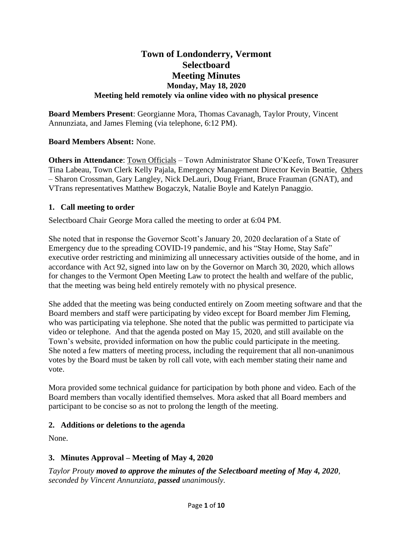# **Town of Londonderry, Vermont Selectboard Meeting Minutes Monday, May 18, 2020 Meeting held remotely via online video with no physical presence**

**Board Members Present**: Georgianne Mora, Thomas Cavanagh, Taylor Prouty, Vincent Annunziata, and James Fleming (via telephone, 6:12 PM).

# **Board Members Absent:** None.

**Others in Attendance**: Town Officials – Town Administrator Shane O'Keefe, Town Treasurer Tina Labeau, Town Clerk Kelly Pajala, Emergency Management Director Kevin Beattie, Others – Sharon Crossman, Gary Langley, Nick DeLauri, Doug Friant, Bruce Frauman (GNAT), and VTrans representatives Matthew Bogaczyk, Natalie Boyle and Katelyn Panaggio.

## **1. Call meeting to order**

Selectboard Chair George Mora called the meeting to order at 6:04 PM.

She noted that in response the Governor Scott's January 20, 2020 declaration of a State of Emergency due to the spreading COVID-19 pandemic, and his "Stay Home, Stay Safe" executive order restricting and minimizing all unnecessary activities outside of the home, and in accordance with Act 92, signed into law on by the Governor on March 30, 2020, which allows for changes to the Vermont Open Meeting Law to protect the health and welfare of the public, that the meeting was being held entirely remotely with no physical presence.

She added that the meeting was being conducted entirely on Zoom meeting software and that the Board members and staff were participating by video except for Board member Jim Fleming, who was participating via telephone. She noted that the public was permitted to participate via video or telephone. And that the agenda posted on May 15, 2020, and still available on the Town's website, provided information on how the public could participate in the meeting. She noted a few matters of meeting process, including the requirement that all non-unanimous votes by the Board must be taken by roll call vote, with each member stating their name and vote.

Mora provided some technical guidance for participation by both phone and video. Each of the Board members than vocally identified themselves. Mora asked that all Board members and participant to be concise so as not to prolong the length of the meeting.

#### **2. Additions or deletions to the agenda**

None.

# **3. Minutes Approval – Meeting of May 4, 2020**

*Taylor Prouty moved to approve the minutes of the Selectboard meeting of May 4, 2020, seconded by Vincent Annunziata, passed unanimously.*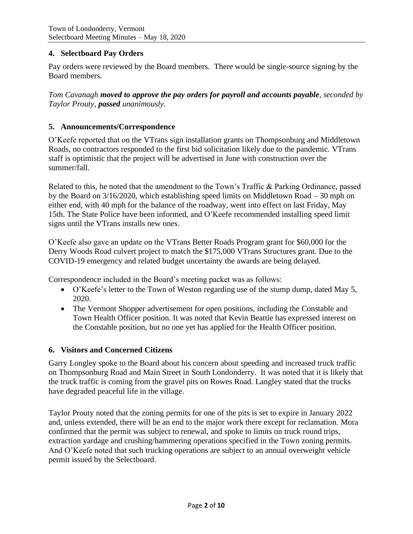# **4. Selectboard Pay Orders**

Pay orders were reviewed by the Board members. There would be single-source signing by the Board members.

*Tom Cavanagh moved to approve the pay orders for payroll and accounts payable, seconded by Taylor Prouty, passed unanimously.*

### **5. Announcements/Correspondence**

O'Keefe reported that on the VTrans sign installation grants on Thompsonburg and Middletown Roads, no contractors responded to the first bid solicitation likely due to the pandemic. VTrans staff is optimistic that the project will be advertised in June with construction over the summer/fall.

Related to this, he noted that the amendment to the Town's Traffic & Parking Ordinance, passed by the Board on 3/16/2020, which establishing speed limits on Middletown Road – 30 mph on either end, with 40 mph for the balance of the roadway, went into effect on last Friday, May 15th. The State Police have been informed, and O'Keefe recommended installing speed limit signs until the VTrans installs new ones.

O'Keefe also gave an update on the VTrans Better Roads Program grant for \$60,000 for the Derry Woods Road culvert project to match the \$175,000 VTrans Structures grant. Due to the COVID-19 emergency and related budget uncertainty the awards are being delayed.

Correspondence included in the Board's meeting packet was as follows:

- O'Keefe's letter to the Town of Weston regarding use of the stump dump, dated May 5, 2020.
- The Vermont Shopper advertisement for open positions, including the Constable and Town Health Officer position. It was noted that Kevin Beattie has expressed interest on the Constable position, but no one yet has applied for the Health Officer position.

#### **6. Visitors and Concerned Citizens**

Garry Longley spoke to the Board about his concern about speeding and increased truck traffic on Thompsonburg Road and Main Street in South Londonderry. It was noted that it is likely that the truck traffic is coming from the gravel pits on Rowes Road. Langley stated that the trucks have degraded peaceful life in the village.

Taylor Prouty noted that the zoning permits for one of the pits is set to expire in January 2022 and, unless extended, there will be an end to the major work there except for reclamation. Mora confirmed that the permit was subject to renewal, and spoke to limits on truck round trips, extraction yardage and crushing/hammering operations specified in the Town zoning permits. And O'Keefe noted that such trucking operations are subject to an annual overweight vehicle permit issued by the Selectboard.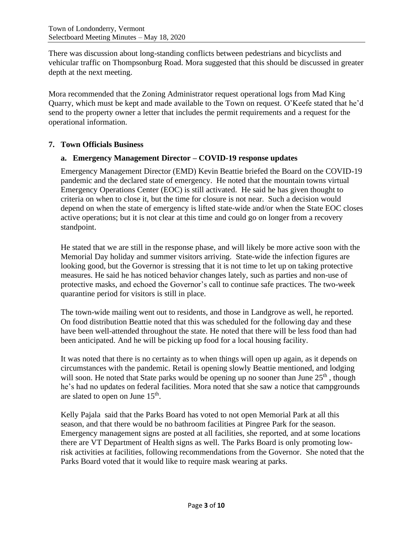There was discussion about long-standing conflicts between pedestrians and bicyclists and vehicular traffic on Thompsonburg Road. Mora suggested that this should be discussed in greater depth at the next meeting.

Mora recommended that the Zoning Administrator request operational logs from Mad King Quarry, which must be kept and made available to the Town on request. O'Keefe stated that he'd send to the property owner a letter that includes the permit requirements and a request for the operational information.

## **7. Town Officials Business**

## **a. Emergency Management Director – COVID-19 response updates**

Emergency Management Director (EMD) Kevin Beattie briefed the Board on the COVID-19 pandemic and the declared state of emergency. He noted that the mountain towns virtual Emergency Operations Center (EOC) is still activated. He said he has given thought to criteria on when to close it, but the time for closure is not near. Such a decision would depend on when the state of emergency is lifted state-wide and/or when the State EOC closes active operations; but it is not clear at this time and could go on longer from a recovery standpoint.

He stated that we are still in the response phase, and will likely be more active soon with the Memorial Day holiday and summer visitors arriving. State-wide the infection figures are looking good, but the Governor is stressing that it is not time to let up on taking protective measures. He said he has noticed behavior changes lately, such as parties and non-use of protective masks, and echoed the Governor's call to continue safe practices. The two-week quarantine period for visitors is still in place.

The town-wide mailing went out to residents, and those in Landgrove as well, he reported. On food distribution Beattie noted that this was scheduled for the following day and these have been well-attended throughout the state. He noted that there will be less food than had been anticipated. And he will be picking up food for a local housing facility.

It was noted that there is no certainty as to when things will open up again, as it depends on circumstances with the pandemic. Retail is opening slowly Beattie mentioned, and lodging will soon. He noted that State parks would be opening up no sooner than June  $25<sup>th</sup>$ , though he's had no updates on federal facilities. Mora noted that she saw a notice that campgrounds are slated to open on June  $15<sup>th</sup>$ .

Kelly Pajala said that the Parks Board has voted to not open Memorial Park at all this season, and that there would be no bathroom facilities at Pingree Park for the season. Emergency management signs are posted at all facilities, she reported, and at some locations there are VT Department of Health signs as well. The Parks Board is only promoting lowrisk activities at facilities, following recommendations from the Governor. She noted that the Parks Board voted that it would like to require mask wearing at parks.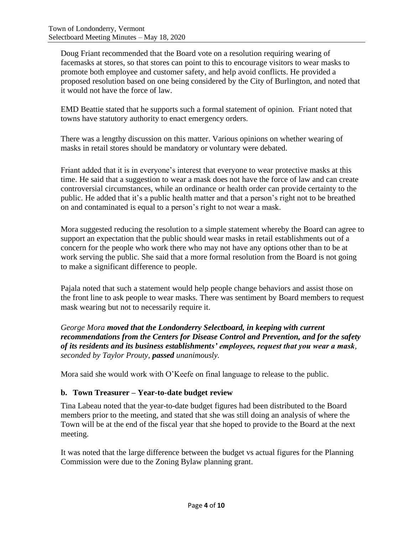Doug Friant recommended that the Board vote on a resolution requiring wearing of facemasks at stores, so that stores can point to this to encourage visitors to wear masks to promote both employee and customer safety, and help avoid conflicts. He provided a proposed resolution based on one being considered by the City of Burlington, and noted that it would not have the force of law.

EMD Beattie stated that he supports such a formal statement of opinion. Friant noted that towns have statutory authority to enact emergency orders.

There was a lengthy discussion on this matter. Various opinions on whether wearing of masks in retail stores should be mandatory or voluntary were debated.

Friant added that it is in everyone's interest that everyone to wear protective masks at this time. He said that a suggestion to wear a mask does not have the force of law and can create controversial circumstances, while an ordinance or health order can provide certainty to the public. He added that it's a public health matter and that a person's right not to be breathed on and contaminated is equal to a person's right to not wear a mask.

Mora suggested reducing the resolution to a simple statement whereby the Board can agree to support an expectation that the public should wear masks in retail establishments out of a concern for the people who work there who may not have any options other than to be at work serving the public. She said that a more formal resolution from the Board is not going to make a significant difference to people.

Pajala noted that such a statement would help people change behaviors and assist those on the front line to ask people to wear masks. There was sentiment by Board members to request mask wearing but not to necessarily require it.

*George Mora moved that the Londonderry Selectboard, in keeping with current recommendations from the Centers for Disease Control and Prevention, and for the safety of its residents and its business establishments' employees, request that you wear a mask, seconded by Taylor Prouty, passed unanimously.*

Mora said she would work with O'Keefe on final language to release to the public.

# **b. Town Treasurer – Year-to-date budget review**

Tina Labeau noted that the year-to-date budget figures had been distributed to the Board members prior to the meeting, and stated that she was still doing an analysis of where the Town will be at the end of the fiscal year that she hoped to provide to the Board at the next meeting.

It was noted that the large difference between the budget vs actual figures for the Planning Commission were due to the Zoning Bylaw planning grant.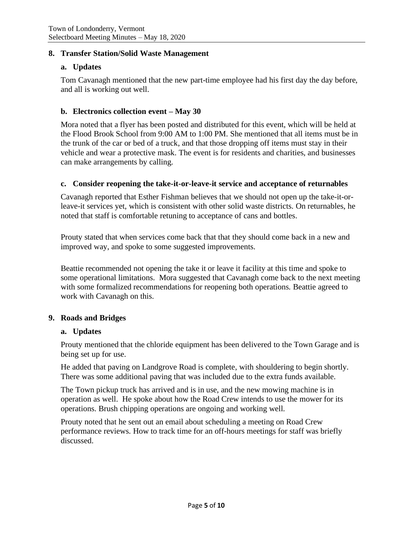## **8. Transfer Station/Solid Waste Management**

### **a. Updates**

Tom Cavanagh mentioned that the new part-time employee had his first day the day before, and all is working out well.

### **b. Electronics collection event – May 30**

Mora noted that a flyer has been posted and distributed for this event, which will be held at the Flood Brook School from 9:00 AM to 1:00 PM. She mentioned that all items must be in the trunk of the car or bed of a truck, and that those dropping off items must stay in their vehicle and wear a protective mask. The event is for residents and charities, and businesses can make arrangements by calling.

#### **c. Consider reopening the take-it-or-leave-it service and acceptance of returnables**

Cavanagh reported that Esther Fishman believes that we should not open up the take-it-orleave-it services yet, which is consistent with other solid waste districts. On returnables, he noted that staff is comfortable retuning to acceptance of cans and bottles.

Prouty stated that when services come back that that they should come back in a new and improved way, and spoke to some suggested improvements.

Beattie recommended not opening the take it or leave it facility at this time and spoke to some operational limitations. Mora suggested that Cavanagh come back to the next meeting with some formalized recommendations for reopening both operations. Beattie agreed to work with Cavanagh on this.

#### **9. Roads and Bridges**

#### **a. Updates**

Prouty mentioned that the chloride equipment has been delivered to the Town Garage and is being set up for use.

He added that paving on Landgrove Road is complete, with shouldering to begin shortly. There was some additional paving that was included due to the extra funds available.

The Town pickup truck has arrived and is in use, and the new mowing machine is in operation as well. He spoke about how the Road Crew intends to use the mower for its operations. Brush chipping operations are ongoing and working well.

Prouty noted that he sent out an email about scheduling a meeting on Road Crew performance reviews. How to track time for an off-hours meetings for staff was briefly discussed.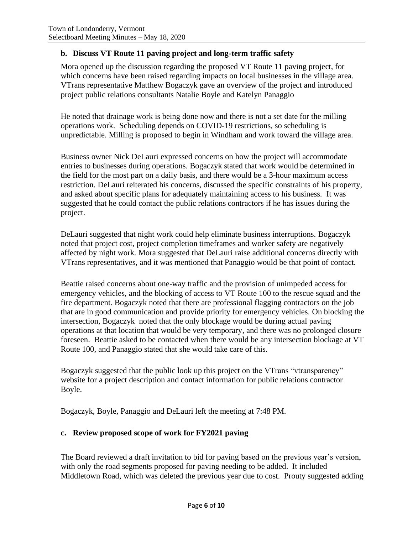# **b. Discuss VT Route 11 paving project and long-term traffic safety**

Mora opened up the discussion regarding the proposed VT Route 11 paving project, for which concerns have been raised regarding impacts on local businesses in the village area. VTrans representative Matthew Bogaczyk gave an overview of the project and introduced project public relations consultants Natalie Boyle and Katelyn Panaggio

He noted that drainage work is being done now and there is not a set date for the milling operations work. Scheduling depends on COVID-19 restrictions, so scheduling is unpredictable. Milling is proposed to begin in Windham and work toward the village area.

Business owner Nick DeLauri expressed concerns on how the project will accommodate entries to businesses during operations. Bogaczyk stated that work would be determined in the field for the most part on a daily basis, and there would be a 3-hour maximum access restriction. DeLauri reiterated his concerns, discussed the specific constraints of his property, and asked about specific plans for adequately maintaining access to his business. It was suggested that he could contact the public relations contractors if he has issues during the project.

DeLauri suggested that night work could help eliminate business interruptions. Bogaczyk noted that project cost, project completion timeframes and worker safety are negatively affected by night work. Mora suggested that DeLauri raise additional concerns directly with VTrans representatives, and it was mentioned that Panaggio would be that point of contact.

Beattie raised concerns about one-way traffic and the provision of unimpeded access for emergency vehicles, and the blocking of access to VT Route 100 to the rescue squad and the fire department. Bogaczyk noted that there are professional flagging contractors on the job that are in good communication and provide priority for emergency vehicles. On blocking the intersection, Bogaczyk noted that the only blockage would be during actual paving operations at that location that would be very temporary, and there was no prolonged closure foreseen. Beattie asked to be contacted when there would be any intersection blockage at VT Route 100, and Panaggio stated that she would take care of this.

Bogaczyk suggested that the public look up this project on the VTrans "vtransparency" website for a project description and contact information for public relations contractor Boyle.

Bogaczyk, Boyle, Panaggio and DeLauri left the meeting at 7:48 PM.

# **c. Review proposed scope of work for FY2021 paving**

The Board reviewed a draft invitation to bid for paving based on the previous year's version, with only the road segments proposed for paving needing to be added. It included Middletown Road, which was deleted the previous year due to cost. Prouty suggested adding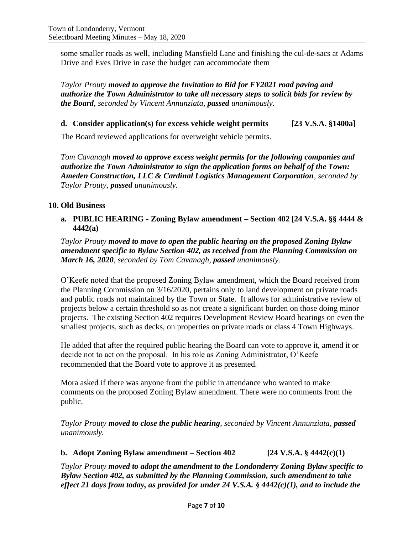some smaller roads as well, including Mansfield Lane and finishing the cul-de-sacs at Adams Drive and Eves Drive in case the budget can accommodate them

*Taylor Prouty moved to approve the Invitation to Bid for FY2021 road paving and authorize the Town Administrator to take all necessary steps to solicit bids for review by the Board, seconded by Vincent Annunziata, passed unanimously.*

**d. Consider application(s) for excess vehicle weight permits [23 V.S.A. §1400a]**

The Board reviewed applications for overweight vehicle permits.

*Tom Cavanagh moved to approve excess weight permits for the following companies and authorize the Town Administrator to sign the application forms on behalf of the Town: Ameden Construction, LLC & Cardinal Logistics Management Corporation, seconded by Taylor Prouty, passed unanimously.*

## **10. Old Business**

**a. PUBLIC HEARING - Zoning Bylaw amendment – Section 402 [24 V.S.A. §§ 4444 & 4442(a)**

*Taylor Prouty moved to move to open the public hearing on the proposed Zoning Bylaw amendment specific to Bylaw Section 402, as received from the Planning Commission on March 16, 2020, seconded by Tom Cavanagh, passed unanimously.*

O'Keefe noted that the proposed Zoning Bylaw amendment, which the Board received from the Planning Commission on 3/16/2020, pertains only to land development on private roads and public roads not maintained by the Town or State. It allows for administrative review of projects below a certain threshold so as not create a significant burden on those doing minor projects. The existing Section 402 requires Development Review Board hearings on even the smallest projects, such as decks, on properties on private roads or class 4 Town Highways.

He added that after the required public hearing the Board can vote to approve it, amend it or decide not to act on the proposal. In his role as Zoning Administrator, O'Keefe recommended that the Board vote to approve it as presented.

Mora asked if there was anyone from the public in attendance who wanted to make comments on the proposed Zoning Bylaw amendment. There were no comments from the public.

*Taylor Prouty moved to close the public hearing, seconded by Vincent Annunziata, passed unanimously.*

# **b. Adopt Zoning Bylaw amendment – Section 402 [24 V.S.A. § 4442(c)(1)**

*Taylor Prouty moved to adopt the amendment to the Londonderry Zoning Bylaw specific to Bylaw Section 402, as submitted by the Planning Commission, such amendment to take effect 21 days from today, as provided for under 24 V.S.A. § 4442(c)(1), and to include the*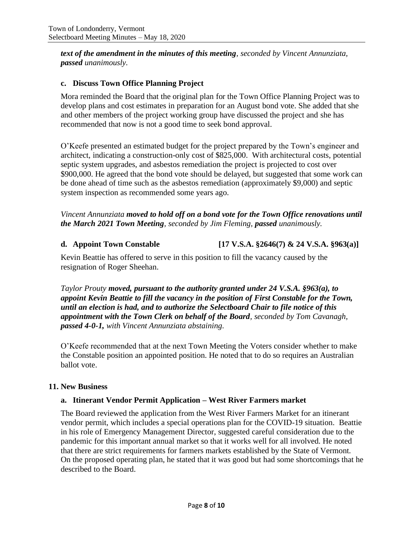*text of the amendment in the minutes of this meeting, seconded by Vincent Annunziata, passed unanimously.*

# **c. Discuss Town Office Planning Project**

Mora reminded the Board that the original plan for the Town Office Planning Project was to develop plans and cost estimates in preparation for an August bond vote. She added that she and other members of the project working group have discussed the project and she has recommended that now is not a good time to seek bond approval.

O'Keefe presented an estimated budget for the project prepared by the Town's engineer and architect, indicating a construction-only cost of \$825,000. With architectural costs, potential septic system upgrades, and asbestos remediation the project is projected to cost over \$900,000. He agreed that the bond vote should be delayed, but suggested that some work can be done ahead of time such as the asbestos remediation (approximately \$9,000) and septic system inspection as recommended some years ago.

*Vincent Annunziata moved to hold off on a bond vote for the Town Office renovations until the March 2021 Town Meeting, seconded by Jim Fleming, passed unanimously.*

# **d. Appoint Town Constable [17 V.S.A. §2646(7) & 24 V.S.A. §963(a)]**

Kevin Beattie has offered to serve in this position to fill the vacancy caused by the resignation of Roger Sheehan.

*Taylor Prouty moved, pursuant to the authority granted under 24 V.S.A. §963(a), to appoint Kevin Beattie to fill the vacancy in the position of First Constable for the Town, until an election is had, and to authorize the Selectboard Chair to file notice of this appointment with the Town Clerk on behalf of the Board, seconded by Tom Cavanagh, passed 4-0-1, with Vincent Annunziata abstaining.*

O'Keefe recommended that at the next Town Meeting the Voters consider whether to make the Constable position an appointed position. He noted that to do so requires an Australian ballot vote.

#### **11. New Business**

#### **a. Itinerant Vendor Permit Application – West River Farmers market**

The Board reviewed the application from the West River Farmers Market for an itinerant vendor permit, which includes a special operations plan for the COVID-19 situation. Beattie in his role of Emergency Management Director, suggested careful consideration due to the pandemic for this important annual market so that it works well for all involved. He noted that there are strict requirements for farmers markets established by the State of Vermont. On the proposed operating plan, he stated that it was good but had some shortcomings that he described to the Board.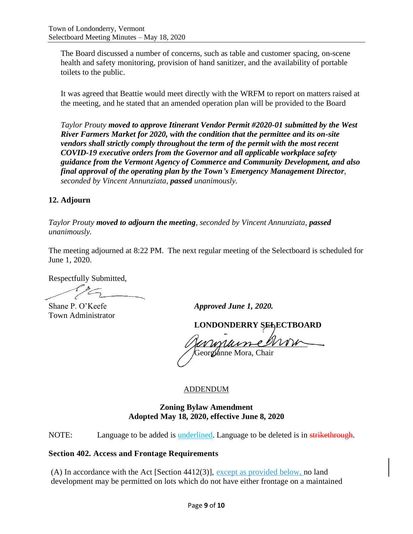The Board discussed a number of concerns, such as table and customer spacing, on-scene health and safety monitoring, provision of hand sanitizer, and the availability of portable toilets to the public.

It was agreed that Beattie would meet directly with the WRFM to report on matters raised at the meeting, and he stated that an amended operation plan will be provided to the Board

*Taylor Prouty moved to approve Itinerant Vendor Permit #2020-01 submitted by the West River Farmers Market for 2020, with the condition that the permittee and its on-site vendors shall strictly comply throughout the term of the permit with the most recent COVID-19 executive orders from the Governor and all applicable workplace safety guidance from the Vermont Agency of Commerce and Community Development, and also final approval of the operating plan by the Town's Emergency Management Director, seconded by Vincent Annunziata, passed unanimously.*

# **12. Adjourn**

*Taylor Prouty moved to adjourn the meeting, seconded by Vincent Annunziata, passed unanimously.*

The meeting adjourned at 8:22 PM. The next regular meeting of the Selectboard is scheduled for June 1, 2020.

Respectfully Submitted,

Town Administrator

Shane P. O'Keefe *Approved June 1, 2020.* 

**LONDONDERRY SELECTBOARD**

 $\it v$   $\it v$   $\it v$ Georgianne Mora, Chair

#### ADDENDUM

## **Zoning Bylaw Amendment Adopted May 18, 2020, effective June 8, 2020**

NOTE: Language to be added is **underlined**. Language to be deleted is in strikethrough.

#### **Section 402. Access and Frontage Requirements**

(A) In accordance with the Act [Section 4412(3)], except as provided below, no land development may be permitted on lots which do not have either frontage on a maintained